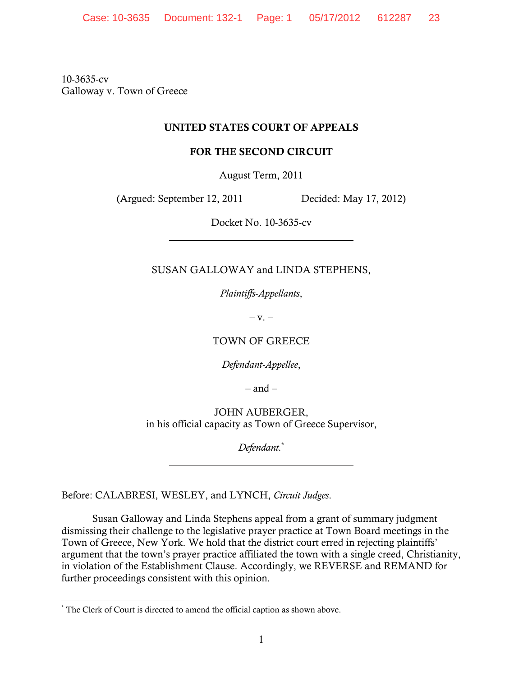10-3635-cv Galloway v. Town of Greece

# UNITED STATES COURT OF APPEALS

## FOR THE SECOND CIRCUIT

August Term, 2011

(Argued: September 12, 2011 Decided: May 17, 2012)

Docket No. 10-3635-cv

SUSAN GALLOWAY and LINDA STEPHENS,

*Plaintiffs-Appellants*,

 $-V. -$ 

TOWN OF GREECE

*Defendant-Appellee*,

 $-$  and  $-$ 

JOHN AUBERGER, in his official capacity as Town of Greece Supervisor,

*Defendant.*\*

Before: CALABRESI, WESLEY, and LYNCH, *Circuit Judges*.

 Susan Galloway and Linda Stephens appeal from a grant of summary judgment dismissing their challenge to the legislative prayer practice at Town Board meetings in the Town of Greece, New York. We hold that the district court erred in rejecting plaintiffs' argument that the town's prayer practice affiliated the town with a single creed, Christianity, in violation of the Establishment Clause. Accordingly, we REVERSE and REMAND for further proceedings consistent with this opinion.

 \* The Clerk of Court is directed to amend the official caption as shown above.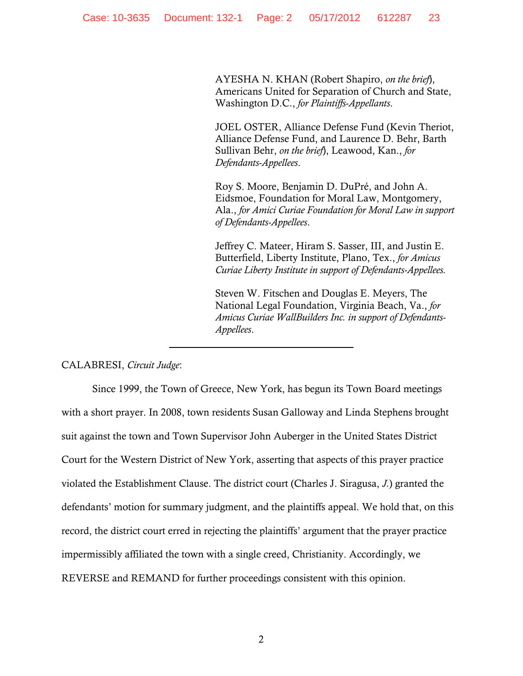AYESHA N. KHAN (Robert Shapiro, *on the brief*), Americans United for Separation of Church and State, Washington D.C., *for Plaintiffs-Appellants*.

JOEL OSTER, Alliance Defense Fund (Kevin Theriot, Alliance Defense Fund, and Laurence D. Behr, Barth Sullivan Behr, *on the brief*), Leawood, Kan., *for Defendants-Appellees*.

Roy S. Moore, Benjamin D. DuPré, and John A. Eidsmoe, Foundation for Moral Law, Montgomery, Ala., *for Amici Curiae Foundation for Moral Law in support of Defendants-Appellees*.

Jeffrey C. Mateer, Hiram S. Sasser, III, and Justin E. Butterfield, Liberty Institute, Plano, Tex., *for Amicus Curiae Liberty Institute in support of Defendants-Appellees.*

Steven W. Fitschen and Douglas E. Meyers, The National Legal Foundation, Virginia Beach, Va., *for Amicus Curiae WallBuilders Inc. in support of Defendants-Appellees*.

### CALABRESI, *Circuit Judge*:

Since 1999, the Town of Greece, New York, has begun its Town Board meetings with a short prayer. In 2008, town residents Susan Galloway and Linda Stephens brought suit against the town and Town Supervisor John Auberger in the United States District Court for the Western District of New York, asserting that aspects of this prayer practice violated the Establishment Clause. The district court (Charles J. Siragusa, *J.*) granted the defendants' motion for summary judgment, and the plaintiffs appeal. We hold that, on this record, the district court erred in rejecting the plaintiffs' argument that the prayer practice impermissibly affiliated the town with a single creed, Christianity. Accordingly, we REVERSE and REMAND for further proceedings consistent with this opinion.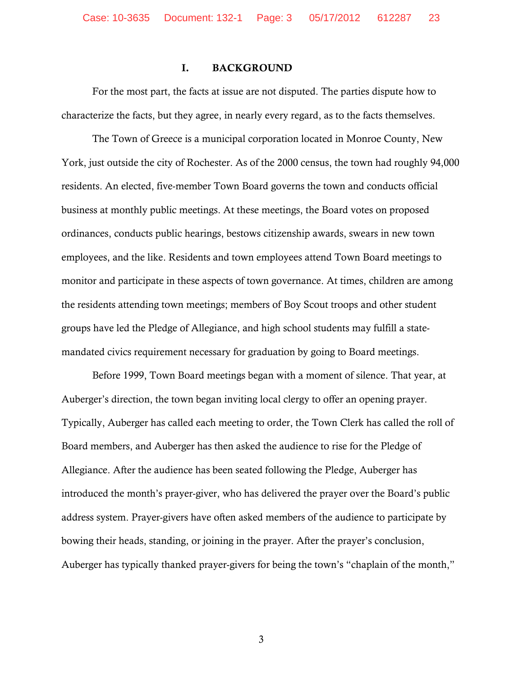### I. BACKGROUND

For the most part, the facts at issue are not disputed. The parties dispute how to characterize the facts, but they agree, in nearly every regard, as to the facts themselves.

The Town of Greece is a municipal corporation located in Monroe County, New York, just outside the city of Rochester. As of the 2000 census, the town had roughly 94,000 residents. An elected, five-member Town Board governs the town and conducts official business at monthly public meetings. At these meetings, the Board votes on proposed ordinances, conducts public hearings, bestows citizenship awards, swears in new town employees, and the like. Residents and town employees attend Town Board meetings to monitor and participate in these aspects of town governance. At times, children are among the residents attending town meetings; members of Boy Scout troops and other student groups have led the Pledge of Allegiance, and high school students may fulfill a statemandated civics requirement necessary for graduation by going to Board meetings.

Before 1999, Town Board meetings began with a moment of silence. That year, at Auberger's direction, the town began inviting local clergy to offer an opening prayer. Typically, Auberger has called each meeting to order, the Town Clerk has called the roll of Board members, and Auberger has then asked the audience to rise for the Pledge of Allegiance. After the audience has been seated following the Pledge, Auberger has introduced the month's prayer-giver, who has delivered the prayer over the Board's public address system. Prayer-givers have often asked members of the audience to participate by bowing their heads, standing, or joining in the prayer. After the prayer's conclusion, Auberger has typically thanked prayer-givers for being the town's "chaplain of the month,"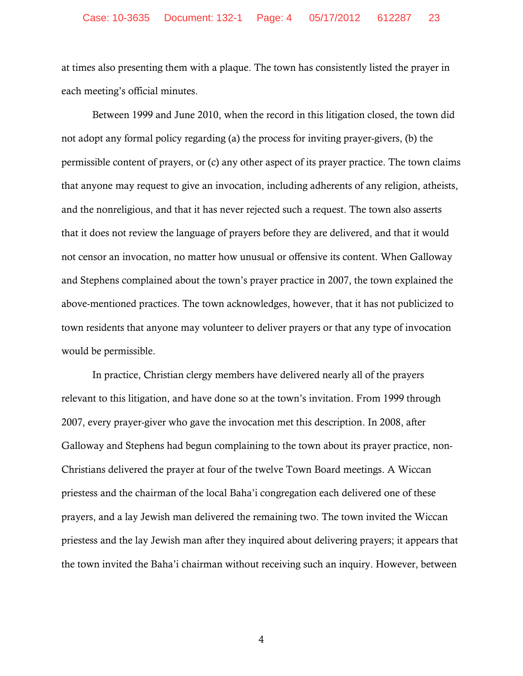at times also presenting them with a plaque. The town has consistently listed the prayer in each meeting's official minutes.

Between 1999 and June 2010, when the record in this litigation closed, the town did not adopt any formal policy regarding (a) the process for inviting prayer-givers, (b) the permissible content of prayers, or (c) any other aspect of its prayer practice. The town claims that anyone may request to give an invocation, including adherents of any religion, atheists, and the nonreligious, and that it has never rejected such a request. The town also asserts that it does not review the language of prayers before they are delivered, and that it would not censor an invocation, no matter how unusual or offensive its content. When Galloway and Stephens complained about the town's prayer practice in 2007, the town explained the above-mentioned practices. The town acknowledges, however, that it has not publicized to town residents that anyone may volunteer to deliver prayers or that any type of invocation would be permissible.

In practice, Christian clergy members have delivered nearly all of the prayers relevant to this litigation, and have done so at the town's invitation. From 1999 through 2007, every prayer-giver who gave the invocation met this description. In 2008, after Galloway and Stephens had begun complaining to the town about its prayer practice, non-Christians delivered the prayer at four of the twelve Town Board meetings. A Wiccan priestess and the chairman of the local Baha'i congregation each delivered one of these prayers, and a lay Jewish man delivered the remaining two. The town invited the Wiccan priestess and the lay Jewish man after they inquired about delivering prayers; it appears that the town invited the Baha'i chairman without receiving such an inquiry. However, between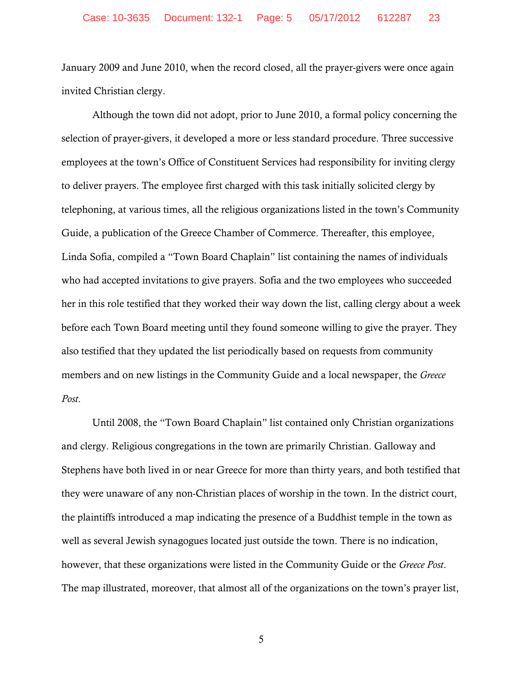January 2009 and June 2010, when the record closed, all the prayer-givers were once again invited Christian clergy.

Although the town did not adopt, prior to June 2010, a formal policy concerning the selection of prayer-givers, it developed a more or less standard procedure. Three successive employees at the town's Office of Constituent Services had responsibility for inviting clergy to deliver prayers. The employee first charged with this task initially solicited clergy by telephoning, at various times, all the religious organizations listed in the town's Community Guide, a publication of the Greece Chamber of Commerce. Thereafter, this employee, Linda Sofia, compiled a "Town Board Chaplain" list containing the names of individuals who had accepted invitations to give prayers. Sofia and the two employees who succeeded her in this role testified that they worked their way down the list, calling clergy about a week before each Town Board meeting until they found someone willing to give the prayer. They also testified that they updated the list periodically based on requests from community members and on new listings in the Community Guide and a local newspaper, the *Greece Post*.

Until 2008, the "Town Board Chaplain" list contained only Christian organizations and clergy. Religious congregations in the town are primarily Christian. Galloway and Stephens have both lived in or near Greece for more than thirty years, and both testified that they were unaware of any non-Christian places of worship in the town. In the district court, the plaintiffs introduced a map indicating the presence of a Buddhist temple in the town as well as several Jewish synagogues located just outside the town. There is no indication, however, that these organizations were listed in the Community Guide or the *Greece Post*. The map illustrated, moreover, that almost all of the organizations on the town's prayer list,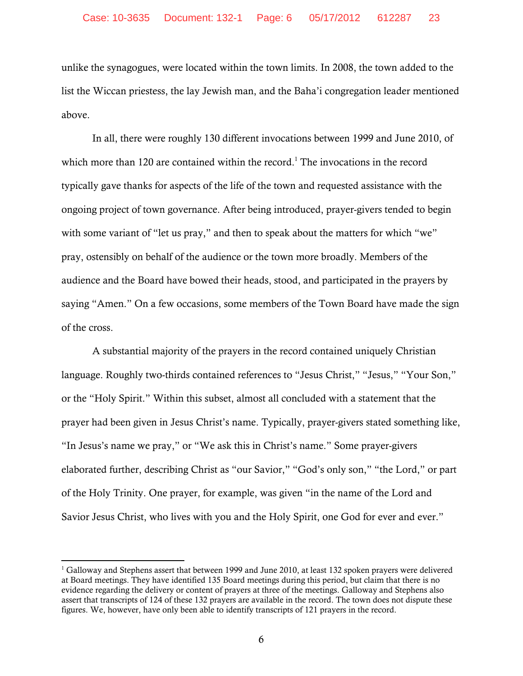unlike the synagogues, were located within the town limits. In 2008, the town added to the list the Wiccan priestess, the lay Jewish man, and the Baha'i congregation leader mentioned above.

In all, there were roughly 130 different invocations between 1999 and June 2010, of which more than 120 are contained within the record.<sup>1</sup> The invocations in the record typically gave thanks for aspects of the life of the town and requested assistance with the ongoing project of town governance. After being introduced, prayer-givers tended to begin with some variant of "let us pray," and then to speak about the matters for which "we" pray, ostensibly on behalf of the audience or the town more broadly. Members of the audience and the Board have bowed their heads, stood, and participated in the prayers by saying "Amen." On a few occasions, some members of the Town Board have made the sign of the cross.

A substantial majority of the prayers in the record contained uniquely Christian language. Roughly two-thirds contained references to "Jesus Christ," "Jesus," "Your Son," or the "Holy Spirit." Within this subset, almost all concluded with a statement that the prayer had been given in Jesus Christ's name. Typically, prayer-givers stated something like, "In Jesus's name we pray," or "We ask this in Christ's name." Some prayer-givers elaborated further, describing Christ as "our Savior," "God's only son," "the Lord," or part of the Holy Trinity. One prayer, for example, was given "in the name of the Lord and Savior Jesus Christ, who lives with you and the Holy Spirit, one God for ever and ever."

 $1$  Galloway and Stephens assert that between 1999 and June 2010, at least 132 spoken prayers were delivered at Board meetings. They have identified 135 Board meetings during this period, but claim that there is no evidence regarding the delivery or content of prayers at three of the meetings. Galloway and Stephens also assert that transcripts of 124 of these 132 prayers are available in the record. The town does not dispute these figures. We, however, have only been able to identify transcripts of 121 prayers in the record.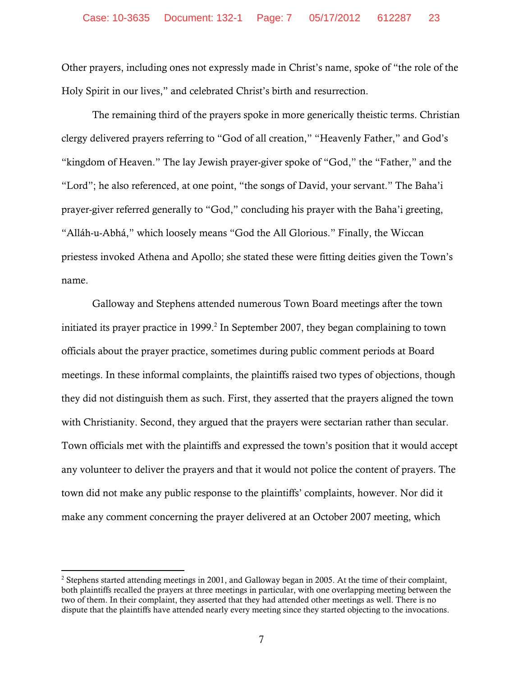Other prayers, including ones not expressly made in Christ's name, spoke of "the role of the Holy Spirit in our lives," and celebrated Christ's birth and resurrection.

The remaining third of the prayers spoke in more generically theistic terms. Christian clergy delivered prayers referring to "God of all creation," "Heavenly Father," and God's "kingdom of Heaven." The lay Jewish prayer-giver spoke of "God," the "Father," and the "Lord"; he also referenced, at one point, "the songs of David, your servant." The Baha'i prayer-giver referred generally to "God," concluding his prayer with the Baha'i greeting, "Alláh-u-Abhá," which loosely means "God the All Glorious." Finally, the Wiccan priestess invoked Athena and Apollo; she stated these were fitting deities given the Town's name.

Galloway and Stephens attended numerous Town Board meetings after the town initiated its prayer practice in  $1999.<sup>2</sup>$  In September 2007, they began complaining to town officials about the prayer practice, sometimes during public comment periods at Board meetings. In these informal complaints, the plaintiffs raised two types of objections, though they did not distinguish them as such. First, they asserted that the prayers aligned the town with Christianity. Second, they argued that the prayers were sectarian rather than secular. Town officials met with the plaintiffs and expressed the town's position that it would accept any volunteer to deliver the prayers and that it would not police the content of prayers. The town did not make any public response to the plaintiffs' complaints, however. Nor did it make any comment concerning the prayer delivered at an October 2007 meeting, which

<sup>&</sup>lt;sup>2</sup> Stephens started attending meetings in 2001, and Galloway began in 2005. At the time of their complaint, both plaintiffs recalled the prayers at three meetings in particular, with one overlapping meeting between the two of them. In their complaint, they asserted that they had attended other meetings as well. There is no dispute that the plaintiffs have attended nearly every meeting since they started objecting to the invocations.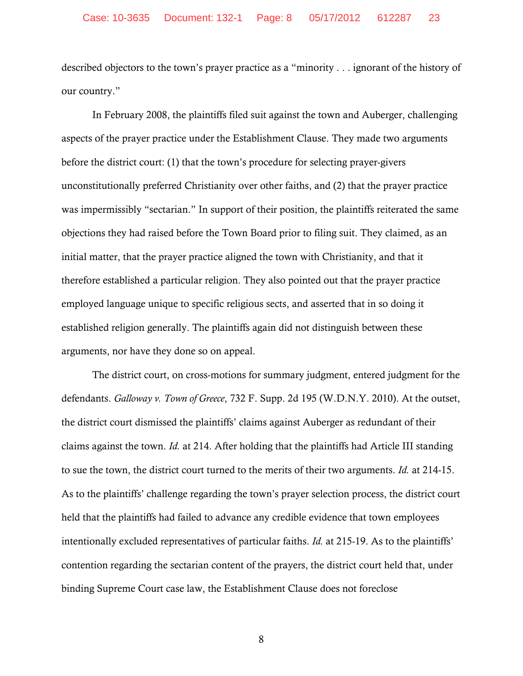described objectors to the town's prayer practice as a "minority . . . ignorant of the history of our country."

In February 2008, the plaintiffs filed suit against the town and Auberger, challenging aspects of the prayer practice under the Establishment Clause. They made two arguments before the district court: (1) that the town's procedure for selecting prayer-givers unconstitutionally preferred Christianity over other faiths, and (2) that the prayer practice was impermissibly "sectarian." In support of their position, the plaintiffs reiterated the same objections they had raised before the Town Board prior to filing suit. They claimed, as an initial matter, that the prayer practice aligned the town with Christianity, and that it therefore established a particular religion. They also pointed out that the prayer practice employed language unique to specific religious sects, and asserted that in so doing it established religion generally. The plaintiffs again did not distinguish between these arguments, nor have they done so on appeal.

The district court, on cross-motions for summary judgment, entered judgment for the defendants. *Galloway v. Town of Greece*, 732 F. Supp. 2d 195 (W.D.N.Y. 2010). At the outset, the district court dismissed the plaintiffs' claims against Auberger as redundant of their claims against the town. *Id.* at 214. After holding that the plaintiffs had Article III standing to sue the town, the district court turned to the merits of their two arguments. *Id.* at 214-15. As to the plaintiffs' challenge regarding the town's prayer selection process, the district court held that the plaintiffs had failed to advance any credible evidence that town employees intentionally excluded representatives of particular faiths. *Id.* at 215-19. As to the plaintiffs' contention regarding the sectarian content of the prayers, the district court held that, under binding Supreme Court case law, the Establishment Clause does not foreclose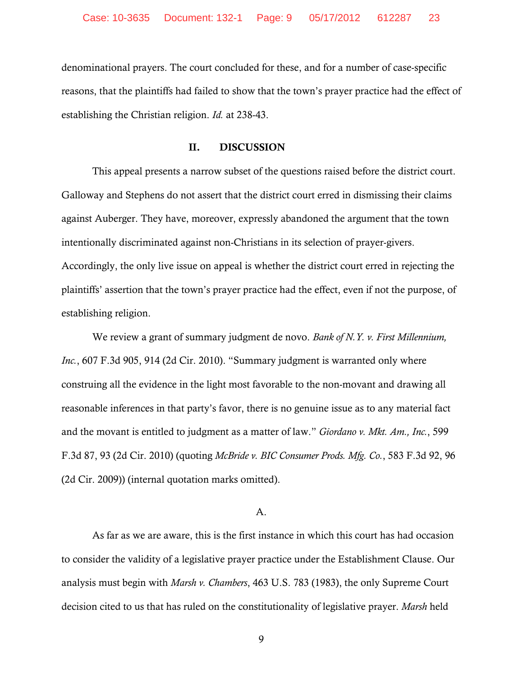denominational prayers. The court concluded for these, and for a number of case-specific reasons, that the plaintiffs had failed to show that the town's prayer practice had the effect of establishing the Christian religion. *Id.* at 238-43.

### II. DISCUSSION

This appeal presents a narrow subset of the questions raised before the district court. Galloway and Stephens do not assert that the district court erred in dismissing their claims against Auberger. They have, moreover, expressly abandoned the argument that the town intentionally discriminated against non-Christians in its selection of prayer-givers. Accordingly, the only live issue on appeal is whether the district court erred in rejecting the plaintiffs' assertion that the town's prayer practice had the effect, even if not the purpose, of establishing religion.

We review a grant of summary judgment de novo. *Bank of N.Y. v. First Millennium, Inc.*, 607 F.3d 905, 914 (2d Cir. 2010). "Summary judgment is warranted only where construing all the evidence in the light most favorable to the non-movant and drawing all reasonable inferences in that party's favor, there is no genuine issue as to any material fact and the movant is entitled to judgment as a matter of law." *Giordano v. Mkt. Am., Inc.*, 599 F.3d 87, 93 (2d Cir. 2010) (quoting *McBride v. BIC Consumer Prods. Mfg. Co.*, 583 F.3d 92, 96 (2d Cir. 2009)) (internal quotation marks omitted).

### A.

As far as we are aware, this is the first instance in which this court has had occasion to consider the validity of a legislative prayer practice under the Establishment Clause. Our analysis must begin with *Marsh v. Chambers*, 463 U.S. 783 (1983), the only Supreme Court decision cited to us that has ruled on the constitutionality of legislative prayer. *Marsh* held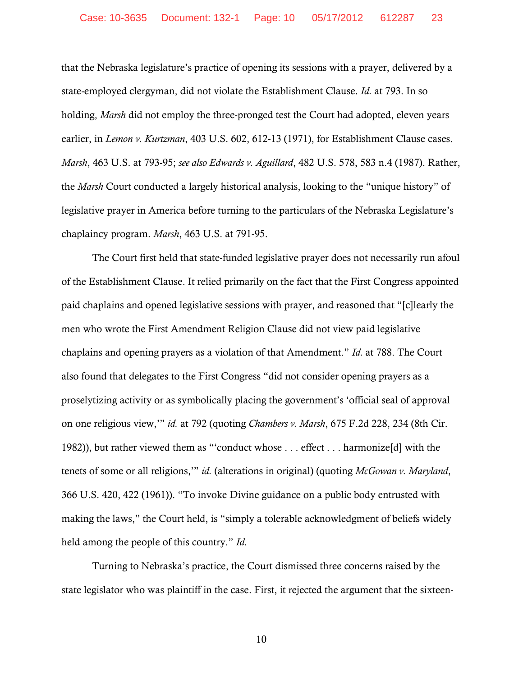that the Nebraska legislature's practice of opening its sessions with a prayer, delivered by a state-employed clergyman, did not violate the Establishment Clause. *Id.* at 793. In so holding, *Marsh* did not employ the three-pronged test the Court had adopted, eleven years earlier, in *Lemon v. Kurtzman*, 403 U.S. 602, 612-13 (1971), for Establishment Clause cases. *Marsh*, 463 U.S. at 793-95; *see also Edwards v. Aguillard*, 482 U.S. 578, 583 n.4 (1987). Rather, the *Marsh* Court conducted a largely historical analysis, looking to the "unique history" of legislative prayer in America before turning to the particulars of the Nebraska Legislature's chaplaincy program. *Marsh*, 463 U.S. at 791-95.

The Court first held that state-funded legislative prayer does not necessarily run afoul of the Establishment Clause. It relied primarily on the fact that the First Congress appointed paid chaplains and opened legislative sessions with prayer, and reasoned that "[c]learly the men who wrote the First Amendment Religion Clause did not view paid legislative chaplains and opening prayers as a violation of that Amendment." *Id.* at 788. The Court also found that delegates to the First Congress "did not consider opening prayers as a proselytizing activity or as symbolically placing the government's 'official seal of approval on one religious view,'" *id.* at 792 (quoting *Chambers v. Marsh*, 675 F.2d 228, 234 (8th Cir. 1982)), but rather viewed them as "'conduct whose . . . effect . . . harmonize[d] with the tenets of some or all religions,'" *id.* (alterations in original) (quoting *McGowan v. Maryland*, 366 U.S. 420, 422 (1961)). "To invoke Divine guidance on a public body entrusted with making the laws," the Court held, is "simply a tolerable acknowledgment of beliefs widely held among the people of this country." *Id.* 

Turning to Nebraska's practice, the Court dismissed three concerns raised by the state legislator who was plaintiff in the case. First, it rejected the argument that the sixteen-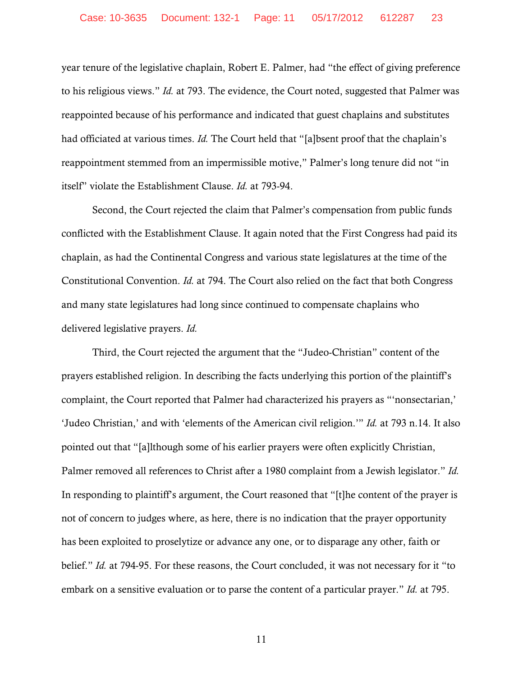year tenure of the legislative chaplain, Robert E. Palmer, had "the effect of giving preference to his religious views." *Id.* at 793. The evidence, the Court noted, suggested that Palmer was reappointed because of his performance and indicated that guest chaplains and substitutes had officiated at various times. *Id.* The Court held that "[a]bsent proof that the chaplain's reappointment stemmed from an impermissible motive," Palmer's long tenure did not "in itself" violate the Establishment Clause. *Id.* at 793-94.

Second, the Court rejected the claim that Palmer's compensation from public funds conflicted with the Establishment Clause. It again noted that the First Congress had paid its chaplain, as had the Continental Congress and various state legislatures at the time of the Constitutional Convention. *Id.* at 794. The Court also relied on the fact that both Congress and many state legislatures had long since continued to compensate chaplains who delivered legislative prayers. *Id.*

Third, the Court rejected the argument that the "Judeo-Christian" content of the prayers established religion. In describing the facts underlying this portion of the plaintiff's complaint, the Court reported that Palmer had characterized his prayers as "'nonsectarian,' 'Judeo Christian,' and with 'elements of the American civil religion.'" *Id.* at 793 n.14. It also pointed out that "[a]lthough some of his earlier prayers were often explicitly Christian, Palmer removed all references to Christ after a 1980 complaint from a Jewish legislator." *Id.*  In responding to plaintiff's argument, the Court reasoned that "[t]he content of the prayer is not of concern to judges where, as here, there is no indication that the prayer opportunity has been exploited to proselytize or advance any one, or to disparage any other, faith or belief." *Id.* at 794-95. For these reasons, the Court concluded, it was not necessary for it "to embark on a sensitive evaluation or to parse the content of a particular prayer." *Id.* at 795.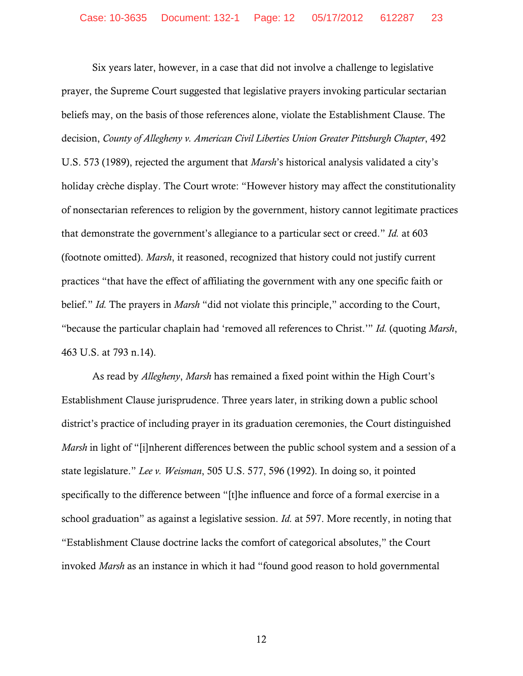Six years later, however, in a case that did not involve a challenge to legislative prayer, the Supreme Court suggested that legislative prayers invoking particular sectarian beliefs may, on the basis of those references alone, violate the Establishment Clause. The decision, *County of Allegheny v. American Civil Liberties Union Greater Pittsburgh Chapter*, 492 U.S. 573 (1989), rejected the argument that *Marsh*'s historical analysis validated a city's holiday crèche display. The Court wrote: "However history may affect the constitutionality of nonsectarian references to religion by the government, history cannot legitimate practices that demonstrate the government's allegiance to a particular sect or creed." *Id.* at 603 (footnote omitted). *Marsh*, it reasoned, recognized that history could not justify current practices "that have the effect of affiliating the government with any one specific faith or belief." *Id.* The prayers in *Marsh* "did not violate this principle," according to the Court, "because the particular chaplain had 'removed all references to Christ.'" *Id.* (quoting *Marsh*, 463 U.S. at 793 n.14).

As read by *Allegheny*, *Marsh* has remained a fixed point within the High Court's Establishment Clause jurisprudence. Three years later, in striking down a public school district's practice of including prayer in its graduation ceremonies, the Court distinguished *Marsh* in light of "[i]nherent differences between the public school system and a session of a state legislature." *Lee v. Weisman*, 505 U.S. 577, 596 (1992). In doing so, it pointed specifically to the difference between "[t]he influence and force of a formal exercise in a school graduation" as against a legislative session. *Id.* at 597. More recently, in noting that "Establishment Clause doctrine lacks the comfort of categorical absolutes," the Court invoked *Marsh* as an instance in which it had "found good reason to hold governmental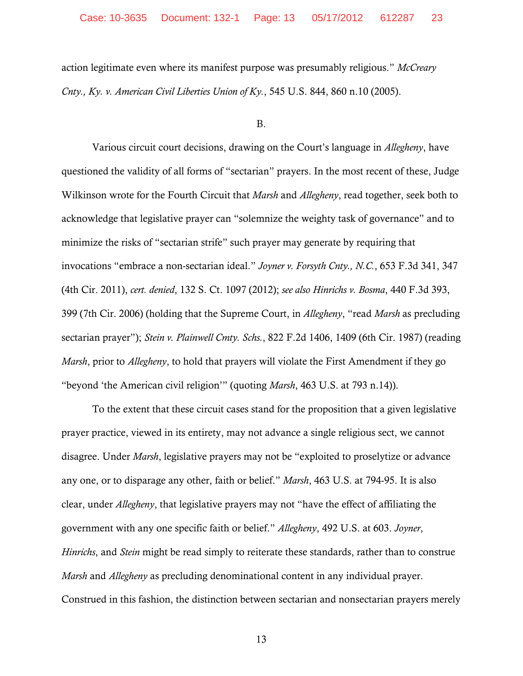action legitimate even where its manifest purpose was presumably religious." *McCreary Cnty., Ky. v. American Civil Liberties Union of Ky.*, 545 U.S. 844, 860 n.10 (2005).

### B.

Various circuit court decisions, drawing on the Court's language in *Allegheny*, have questioned the validity of all forms of "sectarian" prayers. In the most recent of these, Judge Wilkinson wrote for the Fourth Circuit that *Marsh* and *Allegheny*, read together, seek both to acknowledge that legislative prayer can "solemnize the weighty task of governance" and to minimize the risks of "sectarian strife" such prayer may generate by requiring that invocations "embrace a non-sectarian ideal." *Joyner v. Forsyth Cnty., N.C.*, 653 F.3d 341, 347 (4th Cir. 2011), *cert. denied*, 132 S. Ct. 1097 (2012); *see also Hinrichs v. Bosma*, 440 F.3d 393, 399 (7th Cir. 2006) (holding that the Supreme Court, in *Allegheny*, "read *Marsh* as precluding sectarian prayer"); *Stein v. Plainwell Cmty. Schs.*, 822 F.2d 1406, 1409 (6th Cir. 1987) (reading *Marsh*, prior to *Allegheny*, to hold that prayers will violate the First Amendment if they go "beyond 'the American civil religion'" (quoting *Marsh*, 463 U.S. at 793 n.14)).

To the extent that these circuit cases stand for the proposition that a given legislative prayer practice, viewed in its entirety, may not advance a single religious sect, we cannot disagree. Under *Marsh*, legislative prayers may not be "exploited to proselytize or advance any one, or to disparage any other, faith or belief." *Marsh*, 463 U.S. at 794-95. It is also clear, under *Allegheny*, that legislative prayers may not "have the effect of affiliating the government with any one specific faith or belief." *Allegheny*, 492 U.S. at 603. *Joyner*, *Hinrichs*, and *Stein* might be read simply to reiterate these standards, rather than to construe *Marsh* and *Allegheny* as precluding denominational content in any individual prayer. Construed in this fashion, the distinction between sectarian and nonsectarian prayers merely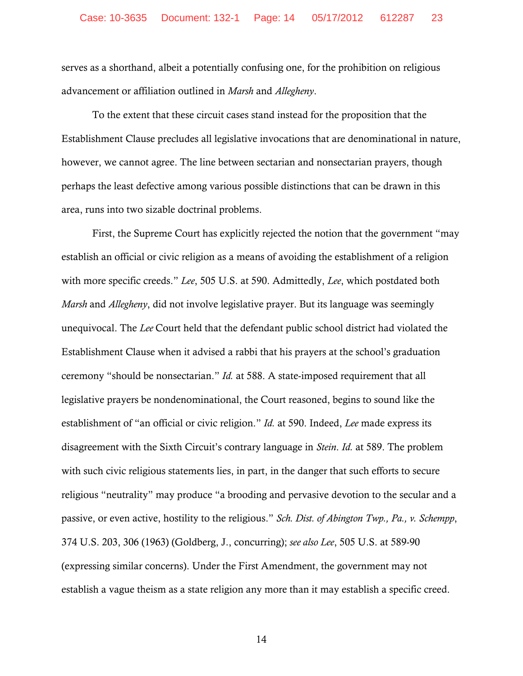serves as a shorthand, albeit a potentially confusing one, for the prohibition on religious advancement or affiliation outlined in *Marsh* and *Allegheny*.

To the extent that these circuit cases stand instead for the proposition that the Establishment Clause precludes all legislative invocations that are denominational in nature, however, we cannot agree. The line between sectarian and nonsectarian prayers, though perhaps the least defective among various possible distinctions that can be drawn in this area, runs into two sizable doctrinal problems.

First, the Supreme Court has explicitly rejected the notion that the government "may establish an official or civic religion as a means of avoiding the establishment of a religion with more specific creeds." *Lee*, 505 U.S. at 590. Admittedly, *Lee*, which postdated both *Marsh* and *Allegheny*, did not involve legislative prayer. But its language was seemingly unequivocal. The *Lee* Court held that the defendant public school district had violated the Establishment Clause when it advised a rabbi that his prayers at the school's graduation ceremony "should be nonsectarian." *Id.* at 588. A state-imposed requirement that all legislative prayers be nondenominational, the Court reasoned, begins to sound like the establishment of "an official or civic religion." *Id.* at 590. Indeed, *Lee* made express its disagreement with the Sixth Circuit's contrary language in *Stein*. *Id.* at 589. The problem with such civic religious statements lies, in part, in the danger that such efforts to secure religious "neutrality" may produce "a brooding and pervasive devotion to the secular and a passive, or even active, hostility to the religious." *Sch. Dist. of Abington Twp., Pa., v. Schempp*, 374 U.S. 203, 306 (1963) (Goldberg, J., concurring); *see also Lee*, 505 U.S. at 589-90 (expressing similar concerns). Under the First Amendment, the government may not establish a vague theism as a state religion any more than it may establish a specific creed.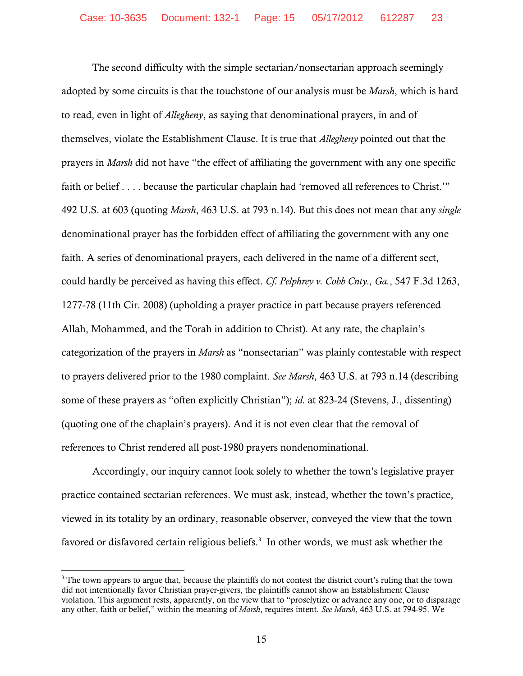The second difficulty with the simple sectarian/nonsectarian approach seemingly adopted by some circuits is that the touchstone of our analysis must be *Marsh*, which is hard to read, even in light of *Allegheny*, as saying that denominational prayers, in and of themselves, violate the Establishment Clause. It is true that *Allegheny* pointed out that the prayers in *Marsh* did not have "the effect of affiliating the government with any one specific faith or belief . . . . because the particular chaplain had 'removed all references to Christ.'" 492 U.S. at 603 (quoting *Marsh*, 463 U.S. at 793 n.14). But this does not mean that any *single* denominational prayer has the forbidden effect of affiliating the government with any one faith. A series of denominational prayers, each delivered in the name of a different sect, could hardly be perceived as having this effect. *Cf. Pelphrey v. Cobb Cnty., Ga.*, 547 F.3d 1263, 1277-78 (11th Cir. 2008) (upholding a prayer practice in part because prayers referenced Allah, Mohammed, and the Torah in addition to Christ). At any rate, the chaplain's categorization of the prayers in *Marsh* as "nonsectarian" was plainly contestable with respect to prayers delivered prior to the 1980 complaint. *See Marsh*, 463 U.S. at 793 n.14 (describing some of these prayers as "often explicitly Christian"); *id.* at 823-24 (Stevens, J., dissenting) (quoting one of the chaplain's prayers). And it is not even clear that the removal of references to Christ rendered all post-1980 prayers nondenominational.

Accordingly, our inquiry cannot look solely to whether the town's legislative prayer practice contained sectarian references. We must ask, instead, whether the town's practice, viewed in its totality by an ordinary, reasonable observer, conveyed the view that the town favored or disfavored certain religious beliefs.<sup>3</sup> In other words, we must ask whether the

  $3$  The town appears to argue that, because the plaintiffs do not contest the district court's ruling that the town did not intentionally favor Christian prayer-givers, the plaintiffs cannot show an Establishment Clause violation. This argument rests, apparently, on the view that to "proselytize or advance any one, or to disparage any other, faith or belief," within the meaning of *Marsh*, requires intent. *See Marsh*, 463 U.S. at 794-95. We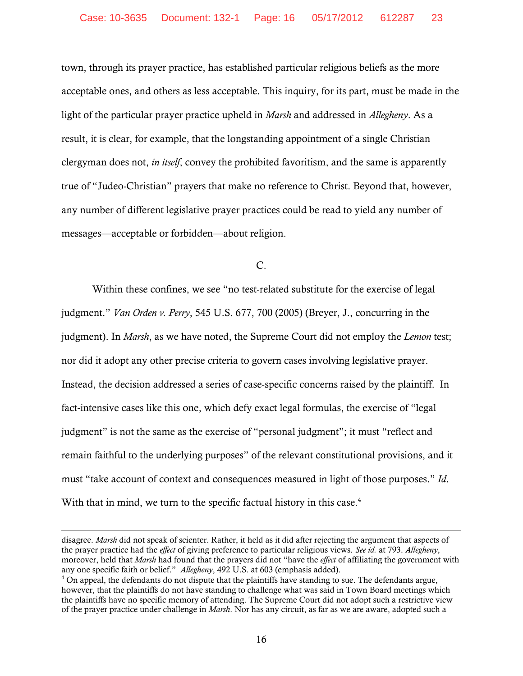town, through its prayer practice, has established particular religious beliefs as the more acceptable ones, and others as less acceptable. This inquiry, for its part, must be made in the light of the particular prayer practice upheld in *Marsh* and addressed in *Allegheny*. As a result, it is clear, for example, that the longstanding appointment of a single Christian clergyman does not, *in itself*, convey the prohibited favoritism, and the same is apparently true of "Judeo-Christian" prayers that make no reference to Christ. Beyond that, however, any number of different legislative prayer practices could be read to yield any number of messages—acceptable or forbidden—about religion.

 $C<sub>1</sub>$ 

Within these confines, we see "no test-related substitute for the exercise of legal judgment." *Van Orden v. Perry*, 545 U.S. 677, 700 (2005) (Breyer, J., concurring in the judgment). In *Marsh*, as we have noted, the Supreme Court did not employ the *Lemon* test; nor did it adopt any other precise criteria to govern cases involving legislative prayer. Instead, the decision addressed a series of case-specific concerns raised by the plaintiff. In fact-intensive cases like this one, which defy exact legal formulas, the exercise of "legal judgment" is not the same as the exercise of "personal judgment"; it must "reflect and remain faithful to the underlying purposes" of the relevant constitutional provisions, and it must "take account of context and consequences measured in light of those purposes." *Id*. With that in mind, we turn to the specific factual history in this case.<sup>4</sup>

<u> 1989 - Johann Stein, marwolaethau a gweledydd a ganlad y ganlad y ganlad y ganlad y ganlad y ganlad y ganlad</u>

disagree. *Marsh* did not speak of scienter. Rather, it held as it did after rejecting the argument that aspects of the prayer practice had the *effect* of giving preference to particular religious views. *See id.* at 793. *Allegheny*, moreover, held that *Marsh* had found that the prayers did not "have the *effect* of affiliating the government with any one specific faith or belief." *Allegheny*, 492 U.S. at 603 (emphasis added). 4

 $4$  On appeal, the defendants do not dispute that the plaintiffs have standing to sue. The defendants argue, however, that the plaintiffs do not have standing to challenge what was said in Town Board meetings which the plaintiffs have no specific memory of attending. The Supreme Court did not adopt such a restrictive view of the prayer practice under challenge in *Marsh*. Nor has any circuit, as far as we are aware, adopted such a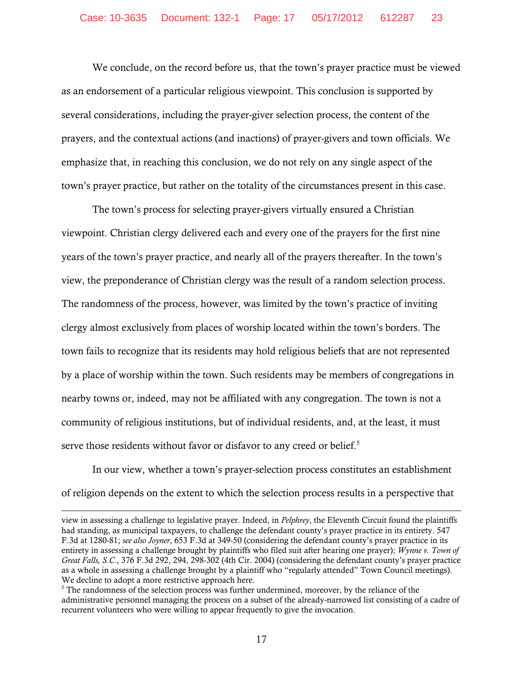We conclude, on the record before us, that the town's prayer practice must be viewed as an endorsement of a particular religious viewpoint. This conclusion is supported by several considerations, including the prayer-giver selection process, the content of the prayers, and the contextual actions (and inactions) of prayer-givers and town officials. We emphasize that, in reaching this conclusion, we do not rely on any single aspect of the town's prayer practice, but rather on the totality of the circumstances present in this case.

 The town's process for selecting prayer-givers virtually ensured a Christian viewpoint. Christian clergy delivered each and every one of the prayers for the first nine years of the town's prayer practice, and nearly all of the prayers thereafter. In the town's view, the preponderance of Christian clergy was the result of a random selection process. The randomness of the process, however, was limited by the town's practice of inviting clergy almost exclusively from places of worship located within the town's borders. The town fails to recognize that its residents may hold religious beliefs that are not represented by a place of worship within the town. Such residents may be members of congregations in nearby towns or, indeed, may not be affiliated with any congregation. The town is not a community of religious institutions, but of individual residents, and, at the least, it must serve those residents without favor or disfavor to any creed or belief. $5$ 

In our view, whether a town's prayer-selection process constitutes an establishment of religion depends on the extent to which the selection process results in a perspective that

<u> 1989 - Johann Stein, marwolaethau a gweledydd a ganlad y ganlad y ganlad y ganlad y ganlad y ganlad y ganlad</u>

view in assessing a challenge to legislative prayer. Indeed, in *Pelphrey*, the Eleventh Circuit found the plaintiffs had standing, as municipal taxpayers, to challenge the defendant county's prayer practice in its entirety. 547 F.3d at 1280-81; *see also Joyner*, 653 F.3d at 349-50 (considering the defendant county's prayer practice in its entirety in assessing a challenge brought by plaintiffs who filed suit after hearing one prayer); *Wynne v. Town of Great Falls, S.C.*, 376 F.3d 292, 294, 298-302 (4th Cir. 2004) (considering the defendant county's prayer practice as a whole in assessing a challenge brought by a plaintiff who "regularly attended" Town Council meetings). We decline to adopt a more restrictive approach here.

<sup>&</sup>lt;sup>5</sup> The randomness of the selection process was further undermined, moreover, by the reliance of the administrative personnel managing the process on a subset of the already-narrowed list consisting of a cadre of recurrent volunteers who were willing to appear frequently to give the invocation.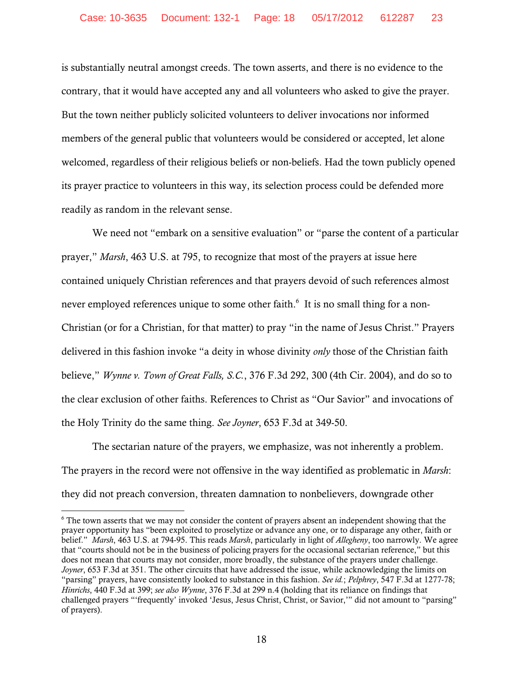is substantially neutral amongst creeds. The town asserts, and there is no evidence to the contrary, that it would have accepted any and all volunteers who asked to give the prayer. But the town neither publicly solicited volunteers to deliver invocations nor informed members of the general public that volunteers would be considered or accepted, let alone welcomed, regardless of their religious beliefs or non-beliefs. Had the town publicly opened its prayer practice to volunteers in this way, its selection process could be defended more readily as random in the relevant sense.

We need not "embark on a sensitive evaluation" or "parse the content of a particular prayer," *Marsh*, 463 U.S. at 795, to recognize that most of the prayers at issue here contained uniquely Christian references and that prayers devoid of such references almost never employed references unique to some other faith.<sup>6</sup> It is no small thing for a non-Christian (or for a Christian, for that matter) to pray "in the name of Jesus Christ." Prayers delivered in this fashion invoke "a deity in whose divinity *only* those of the Christian faith believe," *Wynne v. Town of Great Falls, S.C.*, 376 F.3d 292, 300 (4th Cir. 2004), and do so to the clear exclusion of other faiths. References to Christ as "Our Savior" and invocations of the Holy Trinity do the same thing. *See Joyner*, 653 F.3d at 349-50.

The sectarian nature of the prayers, we emphasize, was not inherently a problem. The prayers in the record were not offensive in the way identified as problematic in *Marsh*: they did not preach conversion, threaten damnation to nonbelievers, downgrade other

 $6$  The town asserts that we may not consider the content of prayers absent an independent showing that the prayer opportunity has "been exploited to proselytize or advance any one, or to disparage any other, faith or belief." *Marsh*, 463 U.S. at 794-95. This reads *Marsh*, particularly in light of *Allegheny*, too narrowly. We agree that "courts should not be in the business of policing prayers for the occasional sectarian reference," but this does not mean that courts may not consider, more broadly, the substance of the prayers under challenge. *Joyner*, 653 F.3d at 351. The other circuits that have addressed the issue, while acknowledging the limits on "parsing" prayers, have consistently looked to substance in this fashion. *See id.*; *Pelphrey*, 547 F.3d at 1277-78; *Hinrichs*, 440 F.3d at 399; *see also Wynne*, 376 F.3d at 299 n.4 (holding that its reliance on findings that challenged prayers "'frequently' invoked 'Jesus, Jesus Christ, Christ, or Savior,'" did not amount to "parsing" of prayers).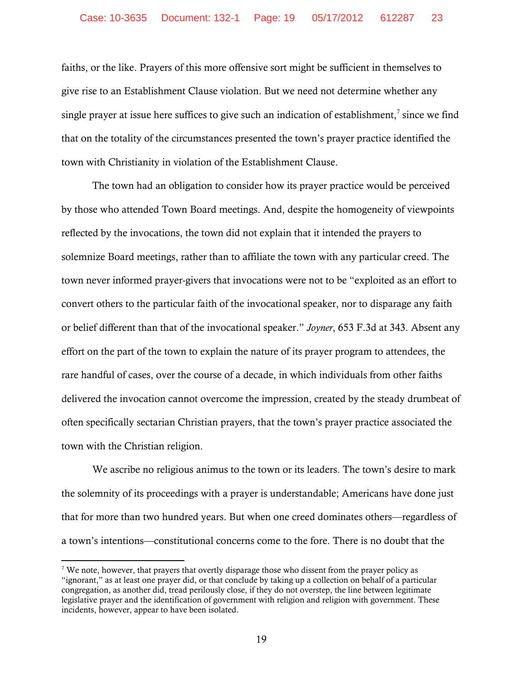faiths, or the like. Prayers of this more offensive sort might be sufficient in themselves to give rise to an Establishment Clause violation. But we need not determine whether any single prayer at issue here suffices to give such an indication of establishment,<sup>7</sup> since we find that on the totality of the circumstances presented the town's prayer practice identified the town with Christianity in violation of the Establishment Clause.

 The town had an obligation to consider how its prayer practice would be perceived by those who attended Town Board meetings. And, despite the homogeneity of viewpoints reflected by the invocations, the town did not explain that it intended the prayers to solemnize Board meetings, rather than to affiliate the town with any particular creed. The town never informed prayer-givers that invocations were not to be "exploited as an effort to convert others to the particular faith of the invocational speaker, nor to disparage any faith or belief different than that of the invocational speaker." *Joyner*, 653 F.3d at 343. Absent any effort on the part of the town to explain the nature of its prayer program to attendees, the rare handful of cases, over the course of a decade, in which individuals from other faiths delivered the invocation cannot overcome the impression, created by the steady drumbeat of often specifically sectarian Christian prayers, that the town's prayer practice associated the town with the Christian religion.

We ascribe no religious animus to the town or its leaders. The town's desire to mark the solemnity of its proceedings with a prayer is understandable; Americans have done just that for more than two hundred years. But when one creed dominates others—regardless of a town's intentions—constitutional concerns come to the fore. There is no doubt that the

<sup>&</sup>lt;sup>7</sup> We note, however, that prayers that overtly disparage those who dissent from the prayer policy as "ignorant," as at least one prayer did, or that conclude by taking up a collection on behalf of a particular congregation, as another did, tread perilously close, if they do not overstep, the line between legitimate legislative prayer and the identification of government with religion and religion with government. These incidents, however, appear to have been isolated.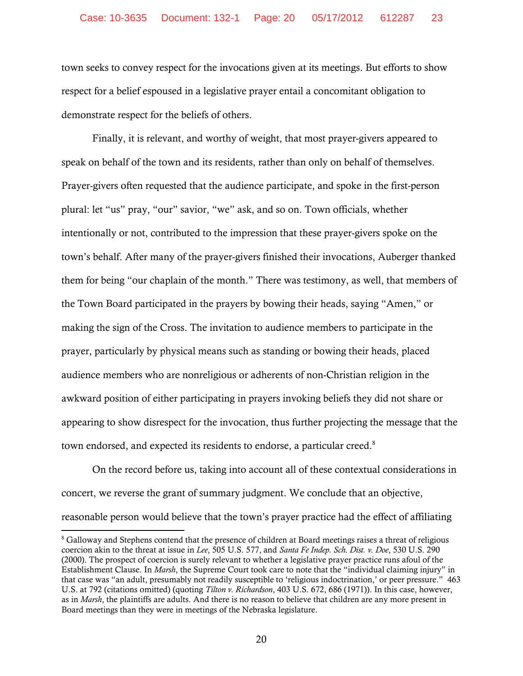town seeks to convey respect for the invocations given at its meetings. But efforts to show respect for a belief espoused in a legislative prayer entail a concomitant obligation to demonstrate respect for the beliefs of others.

Finally, it is relevant, and worthy of weight, that most prayer-givers appeared to speak on behalf of the town and its residents, rather than only on behalf of themselves. Prayer-givers often requested that the audience participate, and spoke in the first-person plural: let "us" pray, "our" savior, "we" ask, and so on. Town officials, whether intentionally or not, contributed to the impression that these prayer-givers spoke on the town's behalf. After many of the prayer-givers finished their invocations, Auberger thanked them for being "our chaplain of the month." There was testimony, as well, that members of the Town Board participated in the prayers by bowing their heads, saying "Amen," or making the sign of the Cross. The invitation to audience members to participate in the prayer, particularly by physical means such as standing or bowing their heads, placed audience members who are nonreligious or adherents of non-Christian religion in the awkward position of either participating in prayers invoking beliefs they did not share or appearing to show disrespect for the invocation, thus further projecting the message that the town endorsed, and expected its residents to endorse, a particular creed.<sup>8</sup>

On the record before us, taking into account all of these contextual considerations in concert, we reverse the grant of summary judgment. We conclude that an objective, reasonable person would believe that the town's prayer practice had the effect of affiliating

<sup>&</sup>lt;sup>8</sup> Galloway and Stephens contend that the presence of children at Board meetings raises a threat of religious coercion akin to the threat at issue in *Lee*, 505 U.S. 577, and *Santa Fe Indep. Sch. Dist. v. Doe*, 530 U.S. 290 (2000). The prospect of coercion is surely relevant to whether a legislative prayer practice runs afoul of the Establishment Clause. In *Marsh*, the Supreme Court took care to note that the "individual claiming injury" in that case was "an adult, presumably not readily susceptible to 'religious indoctrination,' or peer pressure." 463 U.S. at 792 (citations omitted) (quoting *Tilton v. Richardson*, 403 U.S. 672, 686 (1971)). In this case, however, as in *Marsh*, the plaintiffs are adults. And there is no reason to believe that children are any more present in Board meetings than they were in meetings of the Nebraska legislature.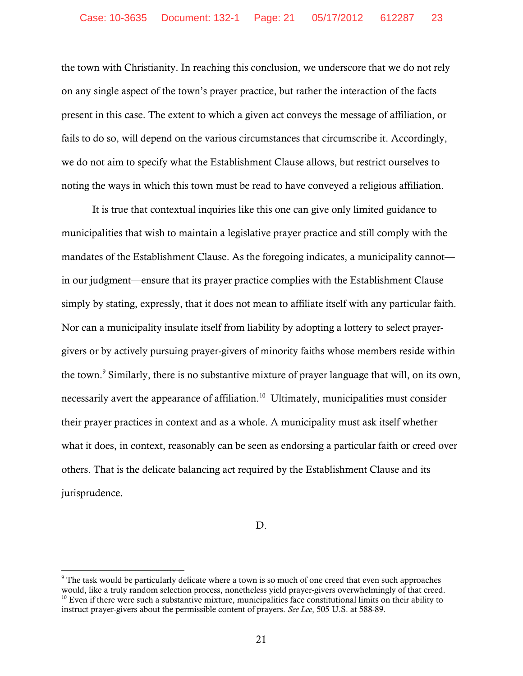the town with Christianity. In reaching this conclusion, we underscore that we do not rely on any single aspect of the town's prayer practice, but rather the interaction of the facts present in this case. The extent to which a given act conveys the message of affiliation, or fails to do so, will depend on the various circumstances that circumscribe it. Accordingly, we do not aim to specify what the Establishment Clause allows, but restrict ourselves to noting the ways in which this town must be read to have conveyed a religious affiliation.

It is true that contextual inquiries like this one can give only limited guidance to municipalities that wish to maintain a legislative prayer practice and still comply with the mandates of the Establishment Clause. As the foregoing indicates, a municipality cannot in our judgment—ensure that its prayer practice complies with the Establishment Clause simply by stating, expressly, that it does not mean to affiliate itself with any particular faith. Nor can a municipality insulate itself from liability by adopting a lottery to select prayergivers or by actively pursuing prayer-givers of minority faiths whose members reside within the town.<sup>9</sup> Similarly, there is no substantive mixture of prayer language that will, on its own, necessarily avert the appearance of affiliation.<sup>10</sup> Ultimately, municipalities must consider their prayer practices in context and as a whole. A municipality must ask itself whether what it does, in context, reasonably can be seen as endorsing a particular faith or creed over others. That is the delicate balancing act required by the Establishment Clause and its jurisprudence.

D.

 $9$  The task would be particularly delicate where a town is so much of one creed that even such approaches would, like a truly random selection process, nonetheless yield prayer-givers overwhelmingly of that creed.<br><sup>10</sup> Even if there were such a substantive mixture, municipalities face constitutional limits on their ability to instruct prayer-givers about the permissible content of prayers. *See Lee*, 505 U.S. at 588-89.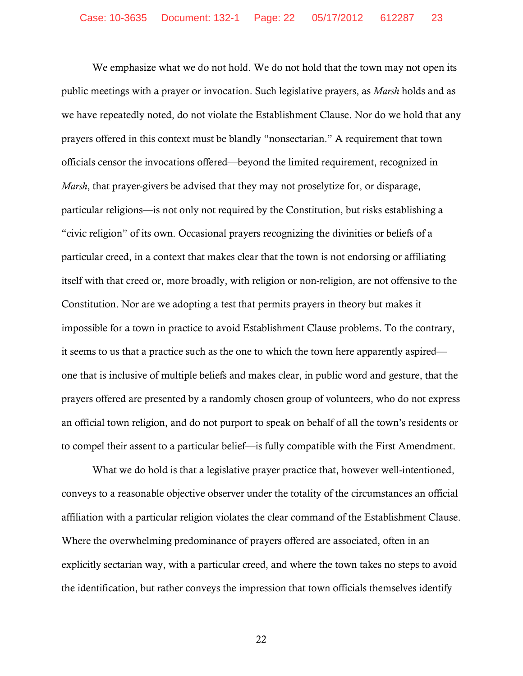We emphasize what we do not hold. We do not hold that the town may not open its public meetings with a prayer or invocation. Such legislative prayers, as *Marsh* holds and as we have repeatedly noted, do not violate the Establishment Clause. Nor do we hold that any prayers offered in this context must be blandly "nonsectarian." A requirement that town officials censor the invocations offered—beyond the limited requirement, recognized in *Marsh*, that prayer-givers be advised that they may not proselytize for, or disparage, particular religions—is not only not required by the Constitution, but risks establishing a "civic religion" of its own. Occasional prayers recognizing the divinities or beliefs of a particular creed, in a context that makes clear that the town is not endorsing or affiliating itself with that creed or, more broadly, with religion or non-religion, are not offensive to the Constitution. Nor are we adopting a test that permits prayers in theory but makes it impossible for a town in practice to avoid Establishment Clause problems. To the contrary, it seems to us that a practice such as the one to which the town here apparently aspired one that is inclusive of multiple beliefs and makes clear, in public word and gesture, that the prayers offered are presented by a randomly chosen group of volunteers, who do not express an official town religion, and do not purport to speak on behalf of all the town's residents or to compel their assent to a particular belief—is fully compatible with the First Amendment.

What we do hold is that a legislative prayer practice that, however well-intentioned, conveys to a reasonable objective observer under the totality of the circumstances an official affiliation with a particular religion violates the clear command of the Establishment Clause. Where the overwhelming predominance of prayers offered are associated, often in an explicitly sectarian way, with a particular creed, and where the town takes no steps to avoid the identification, but rather conveys the impression that town officials themselves identify